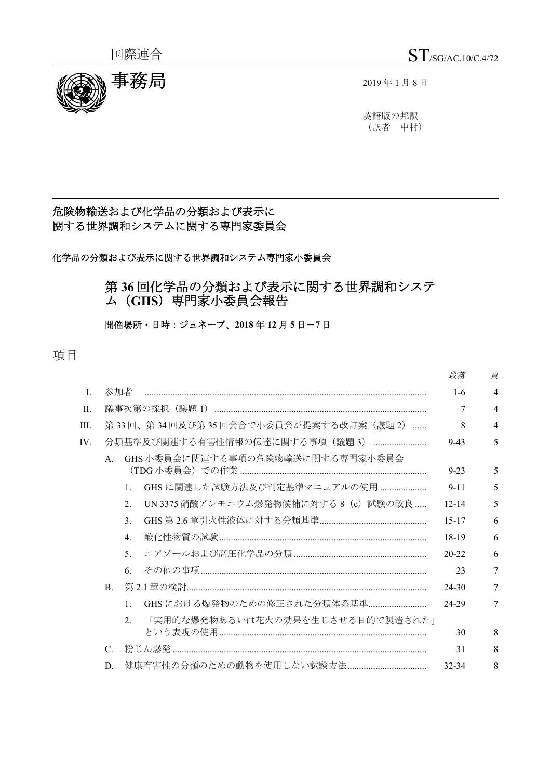

英語版の邦訳 (訳者 中村)

# 危険物輸送および化学品の分類および表示に 関する世界調和システムに関する専門家委員会

化学品の分類および表示に関する世界調和システム専門家小委員会

# 第 **36** 回化学品の分類および表示に関する世界調和システ ム(**GHS**)専門家小委員会報告

開催場所・日時:ジュネーブ、**2018** 年 **12** 月 **5** 日-**7** 日

項目

|              |                 |                             |                                       | 段落        | 頁 |
|--------------|-----------------|-----------------------------|---------------------------------------|-----------|---|
| $\mathbf{L}$ | 参加者             |                             |                                       | $1-6$     | 4 |
| II.          |                 |                             |                                       | 7         | 4 |
| III.         |                 |                             | 第33回、第34回及び第35回会合で小委員会が提案する改訂案(議題2)   | 8         | 4 |
| IV.          |                 |                             | 分類基準及び関連する有害性情報の伝達に関する事項 (議題3)        | $9 - 43$  | 5 |
|              | $\mathsf{A}$ .  |                             | GHS 小委員会に関連する事項の危険物輸送に関する専門家小委員会      | $9 - 23$  | 5 |
|              |                 | $\mathbf{1}$ .              | GHS に関連した試験方法及び判定基準マニュアルの使用           | $9 - 11$  | 5 |
|              |                 | $\mathcal{D}_{\mathcal{L}}$ | UN 3375 硝酸アンモニウム爆発物候補に対する 8 (c) 試験の改良 | $12 - 14$ | 5 |
|              |                 | $\mathcal{E}$               |                                       | $15 - 17$ | 6 |
|              |                 | $\mathbf{4}$ .              |                                       | $18-19$   | 6 |
|              |                 | $5^{\circ}$                 |                                       | $20 - 22$ | 6 |
|              |                 | 6.                          |                                       | 23        | 7 |
|              | $\mathbf{B}$ .  |                             |                                       | $24 - 30$ | 7 |
|              |                 | $\mathbf{1}$                | GHSにおける爆発物のための修正された分類体系基準             | 24-29     | 7 |
|              |                 | $\mathcal{D}$               | 「実用的な爆発物あるいは花火の効果を生じさせる目的で製造された」      | 30        | 8 |
|              | $\mathcal{C}$ . |                             |                                       | 31        | 8 |
|              | D.              |                             |                                       | $32 - 34$ | 8 |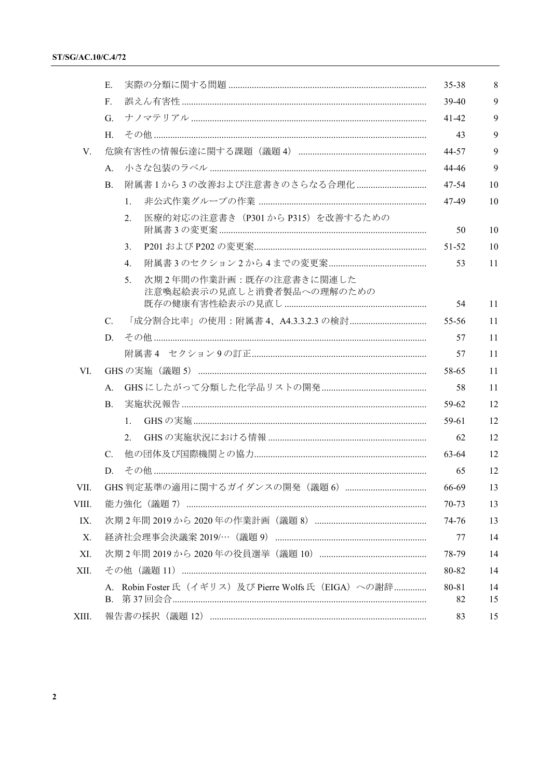|       | E.                                                          | 35-38       | 8        |
|-------|-------------------------------------------------------------|-------------|----------|
|       | F.                                                          | 39-40       | 9        |
|       | G.                                                          | $41 - 42$   | 9        |
|       | H.                                                          | 43          | 9        |
| V.    |                                                             | 44-57       | 9        |
|       | А.                                                          | 44-46       | 9        |
|       | 附属書1から3の改善および注意書きのさらなる合理化<br>B.                             | 47-54       | 10       |
|       | 1.                                                          | 47-49       | 10       |
|       | 医療的対応の注意書き (P301から P315) を改善するための<br>2.                     | 50          | 10       |
|       | 3.                                                          | 51-52       | 10       |
|       | $\overline{4}$ .                                            | 53          | 11       |
|       | 次期2年間の作業計画:既存の注意書きに関連した<br>5.<br>注意喚起絵表示の見直しと消費者製品への理解のための  | 54          | 11       |
|       | 「成分割合比率」の使用:附属書 4、A4.3.3.2.3 の検討<br>$C_{\cdot}$             | 55-56       | 11       |
|       | D.                                                          | 57          | 11       |
|       |                                                             | 57          | 11       |
| VI.   |                                                             | 58-65       | 11       |
|       | A.                                                          | 58          | 11       |
|       | <b>B.</b>                                                   | 59-62       | 12       |
|       | $\mathbf{1}$ .                                              | 59-61       | 12       |
|       | 2.                                                          | 62          | 12       |
|       | $C_{\cdot}$                                                 | 63-64       | 12       |
|       | D.                                                          | 65          | 12       |
| VII.  |                                                             | 66-69       | 13       |
| VIII. |                                                             | 70-73       | 13       |
| IX.   |                                                             | 74-76       | 13       |
| Х.    |                                                             | 77          | 14       |
| XI.   |                                                             | 78-79       | 14       |
| XII.  |                                                             | 80-82       | 14       |
|       | A. Robin Foster氏 (イギリス) 及び Pierre Wolfs 氏 (EIGA) への謝辞<br>В. | 80-81<br>82 | 14<br>15 |
| XIII. |                                                             | 83          | 15       |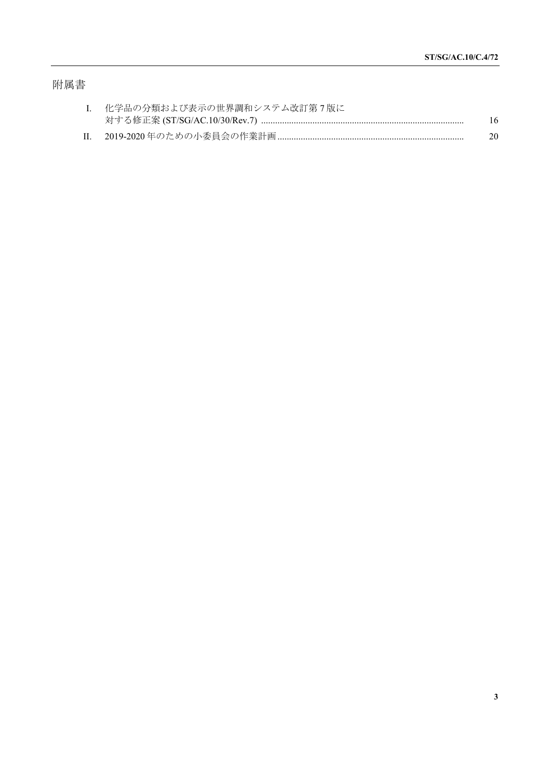# 附属書

| I. 化学品の分類および表示の世界調和システム改訂第7版に |    |
|-------------------------------|----|
|                               | 16 |
|                               | 20 |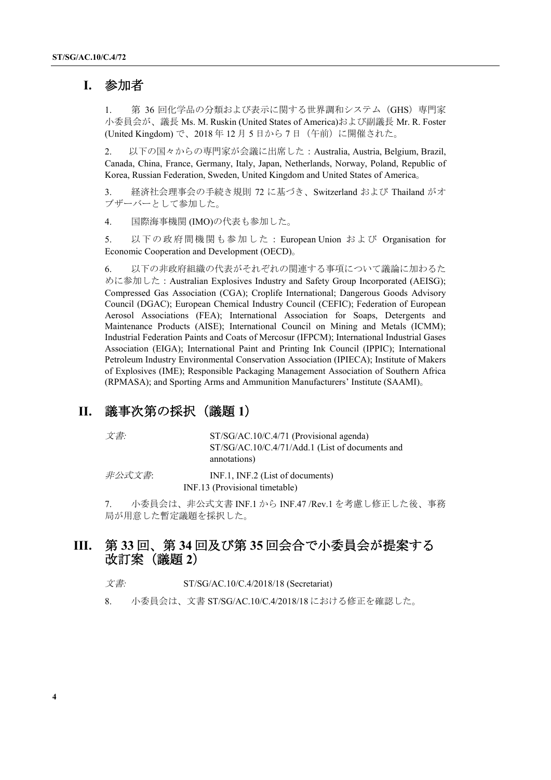# **I.** 参加者

1. 第 36 回化学品の分類および表示に関する世界調和システム (GHS) 専門家 小委員会が、議長 Ms. M. Ruskin (United States of America)および副議長 Mr. R. Foster (United Kingdom) で、2018 年 12 月 5 日から 7 日(午前)に開催された。

2. 以下の国々からの専門家が会議に出席した:Australia, Austria, Belgium, Brazil, Canada, China, France, Germany, Italy, Japan, Netherlands, Norway, Poland, Republic of Korea, Russian Federation, Sweden, United Kingdom and United States of America。

3. 経済社会理事会の手続き規則 72 に基づき、Switzerland および Thailand がオ ブザーバーとして参加した。

4. 国際海事機関 (IMO)の代表も参加した。

5. 以下の政府間機関も参加した: European Union および Organisation for Economic Cooperation and Development (OECD)。

6. 以下の非政府組織の代表がそれぞれの関連する事項について議論に加わるた めに参加した: Australian Explosives Industry and Safety Group Incorporated (AEISG); Compressed Gas Association (CGA); Croplife International; Dangerous Goods Advisory Council (DGAC); European Chemical Industry Council (CEFIC); Federation of European Aerosol Associations (FEA); International Association for Soaps, Detergents and Maintenance Products (AISE); International Council on Mining and Metals (ICMM); Industrial Federation Paints and Coats of Mercosur (IFPCM); International Industrial Gases Association (EIGA); International Paint and Printing Ink Council (IPPIC); International Petroleum Industry Environmental Conservation Association (IPIECA); Institute of Makers of Explosives (IME); Responsible Packaging Management Association of Southern Africa (RPMASA); and Sporting Arms and Ammunition Manufacturers' Institute (SAAMI)。

# **II.** 議事次第の採択(議題 **1**)

文書*:* ST/SG/AC.10/C.4/71 (Provisional agenda) ST/SG/AC.10/C.4/71/Add.1 (List of documents and annotations)

 $\#\triangle \vec{x} \times \vec{\mathcal{F}}$ : INF.1, INF.2 (List of documents) INF.13 (Provisional timetable)

7. 小委員会は、非公式文書 INF.1 から INF.47 /Rev.1 を考慮し修正した後、事務 局が用意した暫定議題を採択した。

# **III.** 第 **33** 回、第 **34** 回及び第 **35** 回会合で小委員会が提案する 改訂案(議題 **2**)

- 文書*:* ST/SG/AC.10/C.4/2018/18 (Secretariat)
- 8. 小委員会は、文書 ST/SG/AC.10/C.4/2018/18 における修正を確認した。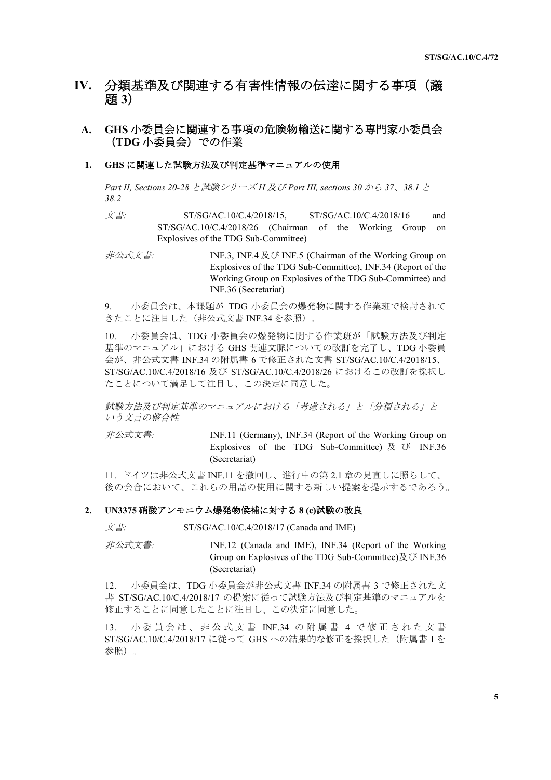# **IV.** 分類基準及び関連する有害性情報の伝達に関する事項(議 題 **3**)

### **A. GHS** 小委員会に関連する事項の危険物輸送に関する専門家小委員会 (**TDG** 小委員会)での作業

#### **1. GHS** に関連した試験方法及び判定基準マニュアルの使用

*Part II, Sections 20-28* と試験シリーズ *H* 及び *Part III, sections 30* から *37*、*38.1* と *38.2*

文書*:* ST/SG/AC.10/C.4/2018/15, ST/SG/AC.10/C.4/2018/16 and ST/SG/AC.10/C.4/2018/26 (Chairman of the Working Group on Explosives of the TDG Sub-Committee)

非公式文書*:* INF.3, INF.4 及び INF.5 (Chairman of the Working Group on Explosives of the TDG Sub-Committee), INF.34 (Report of the Working Group on Explosives of the TDG Sub-Committee) and INF.36 (Secretariat)

9. 小委員会は、本課題が TDG 小委員会の爆発物に関する作業班で検討されて きたことに注目した(非公式文書 INF.34 を参照)。

10. 小委員会は、TDG 小委員会の爆発物に関する作業班が「試験方法及び判定 基準のマニュアル」における GHS 関連文脈についての改訂を完了し、TDG 小委員 会が、非公式文書 INF.34 の附属書 6 で修正された文書 ST/SG/AC.10/C.4/2018/15、 ST/SG/AC.10/C.4/2018/16 及び ST/SG/AC.10/C.4/2018/26 におけるこの改訂を採択し たことについて満足して注目し、この決定に同意した。

試験方法及び判定基準のマニュアルにおける「考慮される」と「分類される」と いう文言の整合性

非公式文書*:* INF.11 (Germany), INF.34 (Report of the Working Group on Explosives of the TDG Sub-Committee) 及 び INF.36 (Secretariat)

11. ドイツは非公式文書 INF.11 を撤回し、進行中の第 2.1 章の見直しに照らして、 後の会合において、これらの用語の使用に関する新しい提案を提示するであろう。

#### **2. UN3375** 硝酸アンモニウム爆発物候補に対する **8 (c)**試験の改良

文書*:* ST/SG/AC.10/C.4/2018/17 (Canada and IME)

非公式文書*:* INF.12 (Canada and IME), INF.34 (Report of the Working Group on Explosives of the TDG Sub-Committee)及び INF.36 (Secretariat)

12. 小委員会は、TDG 小委員会が非公式文書 INF.34 の附属書 3 で修正された文 書 ST/SG/AC.10/C.4/2018/17 の提案に従って試験方法及び判定基準のマニュアルを 修正することに同意したことに注目し、この決定に同意した。

13. 小 委 員 会 は 、 非 公 式 文 書 INF.34 の 附 属 書 4 で 修 正 さ れ た 文 書 ST/SG/AC.10/C.4/2018/17 に従って GHS への結果的な修正を採択した(附属書 I を 参照)。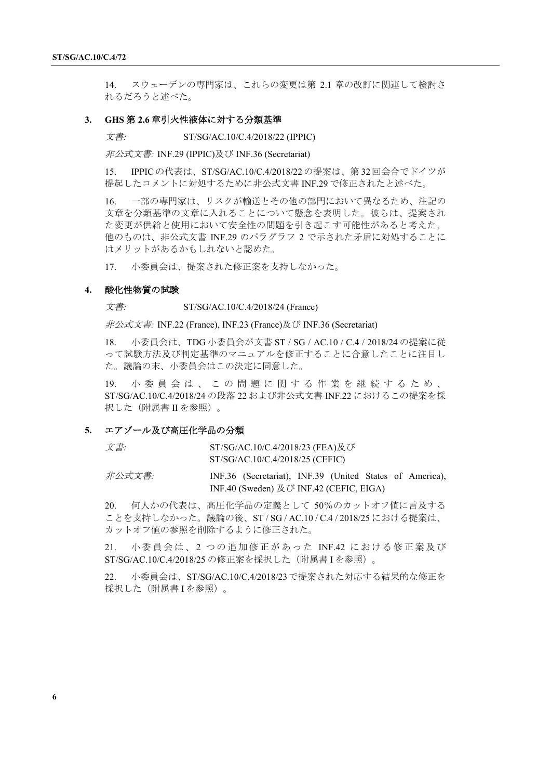14. スウェーデンの専門家は、これらの変更は第 2.1 章の改訂に関連して検討さ れるだろうと述べた。

#### **3. GHS** 第 **2.6** 章引火性液体に対する分類基準

文書*:* ST/SG/AC.10/C.4/2018/22 (IPPIC)

非公式文書*:* INF.29 (IPPIC)及び INF.36 (Secretariat)

15. IPPICの代表は、ST/SG/AC.10/C.4/2018/22の提案は、第 32回会合でドイツが 提起したコメントに対処するために非公式文書 INF.29 で修正されたと述べた。

16. 一部の専門家は、リスクが輸送とその他の部門において異なるため、注記の 文章を分類基準の文章に入れることについて懸念を表明した。彼らは、提案され た変更が供給と使用において安全性の問題を引き起こす可能性があると考えた。 他のものは、非公式文書 INF.29 のパラグラフ 2 で示された矛盾に対処することに はメリットがあるかもしれないと認めた。

17. 小委員会は、提案された修正案を支持しなかった。

#### **4.** 酸化性物質の試験

文書*:* ST/SG/AC.10/C.4/2018/24 (France)

非公式文書*:* INF.22 (France), INF.23 (France)及び INF.36 (Secretariat)

18. 小委員会は、TDG 小委員会が文書 ST / SG / AC.10 / C.4 / 2018/24 の提案に従 って試験方法及び判定基準のマニュアルを修正することに合意したことに注目し た。議論の末、小委員会はこの決定に同意した。

19. 小 委 員 会 は 、 こ の 問 題 に 関 す る 作 業 を 継 続 す る た め 、 ST/SG/AC.10/C.4/2018/24 の段落 22 および非公式文書 INF.22 におけるこの提案を採 択した(附属書 II を参照)。

#### **5.** エアゾール及び高圧化学品の分類

| 文書:    | ST/SG/AC.10/C.4/2018/23 (FEA)及び |                                                          |  |  |  |  |
|--------|---------------------------------|----------------------------------------------------------|--|--|--|--|
|        |                                 | ST/SG/AC.10/C.4/2018/25 (CEFIC)                          |  |  |  |  |
| 非公式文書: |                                 | INF.36 (Secretariat), INF.39 (United States of America), |  |  |  |  |

20. 何人かの代表は、高圧化学品の定義として 50%のカットオフ値に言及する ことを支持しなかった。議論の後、ST / SG / AC.10 / C.4 / 2018/25 における提案は、 カットオフ値の参照を削除するように修正された。

INF.40 (Sweden) 及び INF.42 (CEFIC, EIGA)

21. 小委員会は、2 つの追加修正があった INF.42 における修正案及び ST/SG/AC.10/C.4/2018/25 の修正案を採択した(附属書 I を参照)。

22. 小委員会は、ST/SG/AC.10/C.4/2018/23で提案された対応する結果的な修正を 採択した(附属書 I を参照)。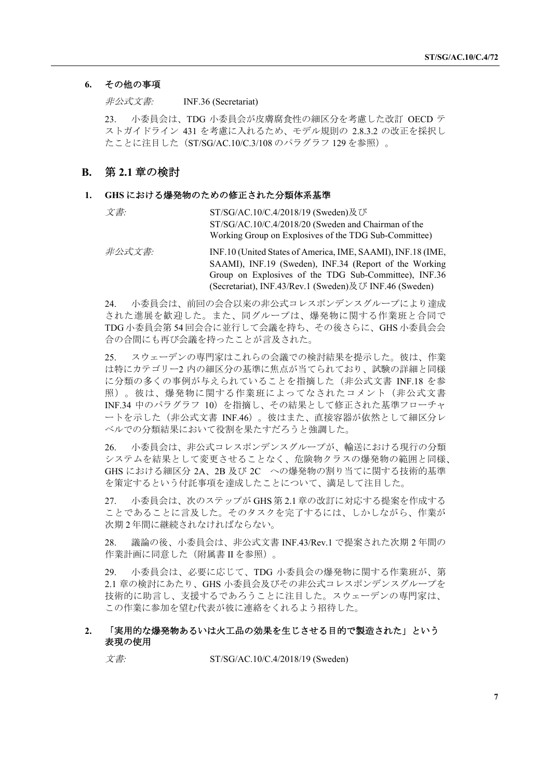### **6.** その他の事項

非公式文書*:* INF.36 (Secretariat)

23. 小委員会は、TDG 小委員会が皮膚腐食性の細区分を考慮した改訂 OECD テ ストガイドライン 431 を考慮に入れるため、モデル規則の 2.8.3.2 の改正を採択し たことに注目した(ST/SG/AC.10/C.3/108 のパラグラフ 129 を参照)。

### **B.** 第 **2.1** 章の検討

#### **1. GHS** における爆発物のための修正された分類体系基準

| 文書: | ST/SG/AC.10/C.4/2018/19 (Sweden)及び                    |
|-----|-------------------------------------------------------|
|     | ST/SG/AC.10/C.4/2018/20 (Sweden and Chairman of the   |
|     | Working Group on Explosives of the TDG Sub-Committee) |

#### 非公式文書*:* INF.10 (United States of America, IME, SAAMI), INF.18 (IME, SAAMI), INF.19 (Sweden), INF.34 (Report of the Working Group on Explosives of the TDG Sub-Committee), INF.36 (Secretariat), INF.43/Rev.1 (Sweden)及び INF.46 (Sweden)

24. 小委員会は、前回の会合以来の非公式コレスポンデンスグループにより達成 された進展を歓迎した。また、同グループは、爆発物に関する作業班と合同で TDG 小委員会第 54 回会合に並行して会議を持ち、その後さらに、GHS 小委員会会 合の合間にも再び会議を持ったことが言及された。

25. スウェーデンの専門家はこれらの会議での検討結果を提示した。彼は、作業 は特にカテゴリー2 内の細区分の基準に焦点が当てられており、試験の詳細と同様 に分類の多くの事例が与えられていることを指摘した(非公式文書 INF.18 を参 照)。彼は、爆発物に関する作業班によってなされたコメント(非公式文書 INF.34 中のパラグラフ 10)を指摘し、その結果として修正された基準フローチャ ートを示した(非公式文書 INF.46)。彼はまた、直接容器が依然として細区分レ ベルでの分類結果において役割を果たすだろうと強調した。

26. 小委員会は、非公式コレスポンデンスグループが、輸送における現行の分類 システムを結果として変更させることなく、危険物クラスの爆発物の範囲と同様、 GHS における細区分 2A、2B 及び 2C への爆発物の割り当てに関する技術的基準 を策定するという付託事項を達成したことについて、満足して注目した。

27. 小委員会は、次のステップが GHS 第 2.1章の改訂に対応する提案を作成する ことであることに言及した。そのタスクを完了するには、しかしながら、作業が 次期 2 年間に継続されなければならない。

28. 議論の後、小委員会は、非公式文書 INF.43/Rev.1 で提案された次期 2 年間の 作業計画に同意した(附属書 II を参照)。

29. 小委員会は、必要に応じて、TDG 小委員会の爆発物に関する作業班が、第 2.1 章の検討にあたり、GHS 小委員会及びその非公式コレスポンデンスグループを 技術的に助言し、支援するであろうことに注目した。スウェーデンの専門家は、 この作業に参加を望む代表が彼に連絡をくれるよう招待した。

#### **2.** 「実用的な爆発物あるいは火工品の効果を生じさせる目的で製造された」という 表現の使用

文書*:* ST/SG/AC.10/C.4/2018/19 (Sweden)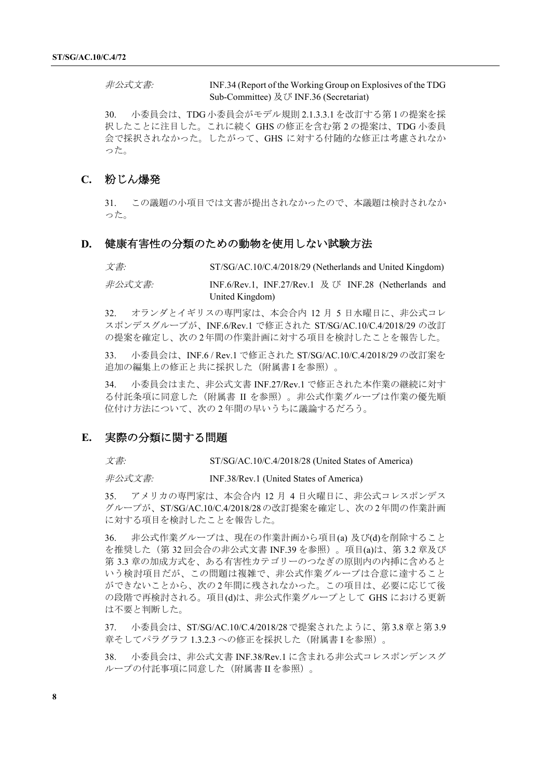非公式文書*:* INF.34 (Report of the Working Group on Explosives of the TDG Sub-Committee) 及び INF.36 (Secretariat)

30. 小委員会は、TDG 小委員会がモデル規則 2.1.3.3.1 を改訂する第 1 の提案を採 択したことに注目した。これに続く GHS の修正を含む第 2 の提案は、TDG 小委員 会で採択されなかった。したがって、GHS に対する付随的な修正は考慮されなか った。

### **C.** 粉じん爆発

31. この議題の小項目では文書が提出されなかったので、本議題は検討されなか った。

#### **D.** 健康有害性の分類のための動物を使用しない試験方法

文書*:* ST/SG/AC.10/C.4/2018/29 (Netherlands and United Kingdom)

非公式文書*:* INF.6/Rev.1, INF.27/Rev.1 及 び INF.28 (Netherlands and United Kingdom)

32. オランダとイギリスの専門家は、本会合内 12 月 5 日水曜日に、非公式コレ スポンデスグループが、INF.6/Rev.1 で修正された ST/SG/AC.10/C.4/2018/29 の改訂 の提案を確定し、次の 2年間の作業計画に対する項目を検討したことを報告した。

33. 小委員会は、INF.6 / Rev.1 で修正された ST/SG/AC.10/C.4/2018/29 の改訂案を 追加の編集上の修正と共に採択した(附属書 I を参照)。

34. 小委員会はまた、非公式文書 INF.27/Rev.1 で修正された本作業の継続に対す る付託条項に同意した(附属書 II を参照)。非公式作業グループは作業の優先順 位付け方法について、次の 2 年間の早いうちに議論するだろう。

#### **E.** 実際の分類に関する問題

文書*:* ST/SG/AC.10/C.4/2018/28 (United States of America)

非公式文書*:* INF.38/Rev.1 (United States of America)

35. アメリカの専門家は、本会合内 12 月 4 日火曜日に、非公式コレスポンデス グループが、ST/SG/AC.10/C.4/2018/28の改訂提案を確定し、次の 2年間の作業計画 に対する項目を検討したことを報告した。

36. 非公式作業グループは、現在の作業計画から項目(a) 及び(d)を削除すること を推奨した(第 32 回会合の非公式文書 INF.39 を参照)。項目(a)は、第 3.2 章及び 第 3.3 章の加成方式を、ある有害性カテゴリーのつなぎの原則内の内挿に含めると いう検討項目だが、この問題は複雑で、非公式作業グループは合意に達すること ができないことから、次の 2年間に残されなかった。この項目は、必要に応じて後 の段階で再検討される。項目(d)は、非公式作業グループとして GHS における更新 は不要と判断した。

37. 小委員会は、ST/SG/AC.10/C.4/2018/28で提案されたように、第 3.8章と第 3.9 章そしてパラグラフ 1.3.2.3への修正を採択した(附属書 I を参照)。

38. 小委員会は、非公式文書 INF.38/Rev.1 に含まれる非公式コレスポンデンスグ ループの付託事項に同意した(附属書 II を参照)。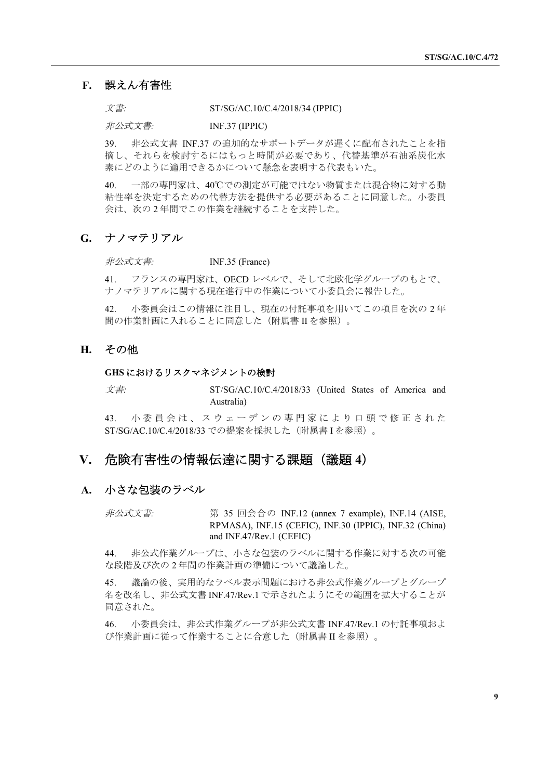#### **F.** 誤えん有害性

文書*:* ST/SG/AC.10/C.4/2018/34 (IPPIC)

非公式文書*:* INF.37 (IPPIC)

39. 非公式文書 INF.37 の追加的なサポートデータが遅くに配布されたことを指 摘し、それらを検討するにはもっと時間が必要であり、代替基準が石油系炭化水 素にどのように適用できるかについて懸念を表明する代表もいた。

40. 一部の専門家は、40℃での測定が可能ではない物質または混合物に対する動 粘性率を決定するための代替方法を提供する必要があることに同意した。小委員 会は、次の 2 年間でこの作業を継続することを支持した。

### **G.** ナノマテリアル

非公式文書*:* INF.35 (France)

41. フランスの専門家は、OECD レベルで、そして北欧化学グループのもとで、 ナノマテリアルに関する現在進行中の作業について小委員会に報告した。

42. 小委員会はこの情報に注目し、現在の付託事項を用いてこの項目を次の 2 年 間の作業計画に入れることに同意した(附属書 II を参照)。

# **H.** その他

### **GHS** におけるリスクマネジメントの検討

文書*:* ST/SG/AC.10/C.4/2018/33 (United States of America and Australia)

43. 小 委 員 会 は 、 ス ウ ェ ー デ ン の 専 門 家 に よ り 口 頭 で 修 正 さ れ た ST/SG/AC.10/C.4/2018/33 での提案を採択した(附属書 I を参照)。

## **V.** 危険有害性の情報伝達に関する課題(議題 **4**)

#### **A.** 小さな包装のラベル

非公式文書*:* 第 35 回会合の INF.12 (annex 7 example), INF.14 (AISE, RPMASA), INF.15 (CEFIC), INF.30 (IPPIC), INF.32 (China) and INF.47/Rev.1 (CEFIC)

44. 非公式作業グループは、小さな包装のラベルに関する作業に対する次の可能 な段階及び次の 2 年間の作業計画の準備について議論した。

45. 議論の後、実用的なラベル表示問題における非公式作業グループとグループ 名を改名し、非公式文書 INF.47/Rev.1で示されたようにその範囲を拡大することが 同意された。

46. 小委員会は、非公式作業グループが非公式文書 INF.47/Rev.1 の付託事項およ び作業計画に従って作業することに合意した(附属書 II を参照)。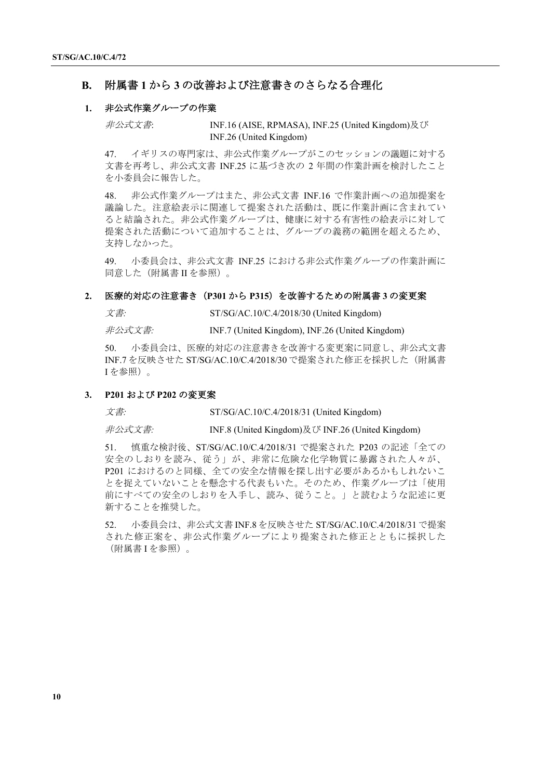### **B.** 附属書 **1** から **3** の改善および注意書きのさらなる合理化

#### **1.** 非公式作業グループの作業

非公式文書: INF.16 (AISE, RPMASA), INF.25 (United Kingdom)及び INF.26 (United Kingdom)

47. イギリスの専門家は、非公式作業グループがこのセッションの議題に対する 文書を再考し、非公式文書 INF.25 に基づき次の 2 年間の作業計画を検討したこと を小委員会に報告した。

48. 非公式作業グループはまた、非公式文書 INF.16 で作業計画への追加提案を 議論した。注意絵表示に関連して提案された活動は、既に作業計画に含まれてい ると結論された。非公式作業グループは、健康に対する有害性の絵表示に対して 提案された活動について追加することは、グループの義務の範囲を超えるため、 支持しなかった。

49. 小委員会は、非公式文書 INF.25 における非公式作業グループの作業計画に 同意した(附属書 II を参照)。

#### **2.** 医療的対応の注意書き(**P301** から **P315**)を改善するための附属書 **3** の変更案

文書*:* ST/SG/AC.10/C.4/2018/30 (United Kingdom)

非公式文書*:* INF.7 (United Kingdom), INF.26 (United Kingdom)

50. 小委員会は、医療的対応の注意書きを改善する変更案に同意し、非公式文書 INF.7 を反映させた ST/SG/AC.10/C.4/2018/30 で提案された修正を採択した(附属書 I を参照)。

#### **3. P201** および **P202** の変更案

文書: ST/SG/AC.10/C.4/2018/31 (United Kingdom)

非公式文書*:* INF.8 (United Kingdom)及び INF.26 (United Kingdom)

51. 慎重な検討後、ST/SG/AC.10/C.4/2018/31 で提案された P203 の記述「全ての 安全のしおりを読み、従う」が、非常に危険な化学物質に暴露された人々が、 P201 におけるのと同様、全ての安全な情報を探し出す必要があるかもしれないこ とを捉えていないことを懸念する代表もいた。そのため、作業グループは「使用 前にすべての安全のしおりを入手し、読み、従うこと。」と読むような記述に更 新することを推奨した。

52. 小委員会は、非公式文書 INF.8 を反映させた ST/SG/AC.10/C.4/2018/31で提案 された修正案を、非公式作業グループにより提案された修正とともに採択した (附属書 I を参照)。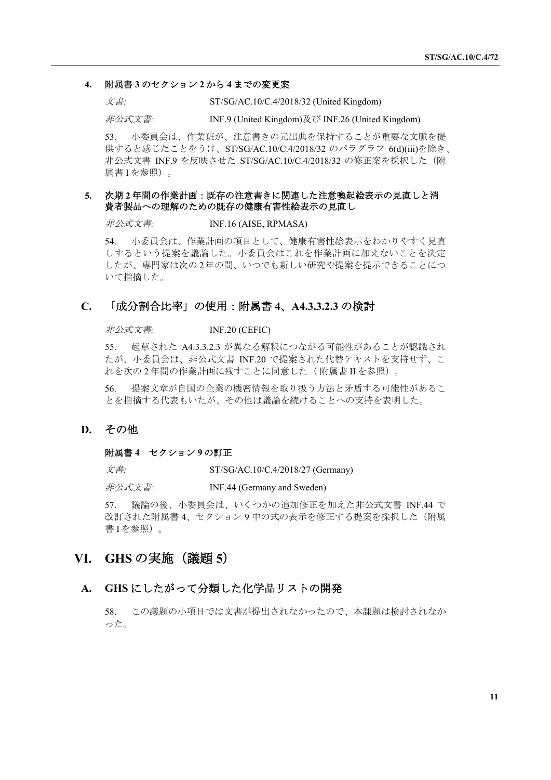#### **4.** 附属書 **3** のセクション **2** から **4** までの変更案

文書*:* ST/SG/AC.10/C.4/2018/32 (United Kingdom)

非公式文書*:* INF.9 (United Kingdom)及び INF.26 (United Kingdom)

53. 小委員会は、作業班が、注意書きの元出典を保持することが重要な文脈を提 供すると感じたことをうけ、ST/SG/AC.10/C.4/2018/32 のパラグラフ 6(d)(iii)を除き、 非公式文書 INF.9 を反映させた ST/SG/AC.10/C.4/2018/32 の修正案を採択した(附 属書 I を参照)。

#### **5.** 次期 **2** 年間の作業計画:既存の注意書きに関連した注意喚起絵表示の見直しと消 費者製品への理解のための既存の健康有害性絵表示の見直し

非公式文書*:* INF.16 (AISE, RPMASA)

54. 小委員会は、作業計画の項目として、健康有害性絵表示をわかりやすく見直 しするという提案を議論した。小委員会はこれを作業計画に加えないことを決定 したが、専門家は次の 2年の間、いつでも新しい研究や提案を提示できることにつ いて指摘した。

### **C.** 「成分割合比率」の使用:附属書 **4**、**A4.3.3.2.3** の検討

非公式文書*:* INF.20 (CEFIC)

55. 起草された A4.3.3.2.3 が異なる解釈につながる可能性があることが認識され たが、小委員会は、非公式文書 INF.20 で提案された代替テキストを支持せず、こ れを次の 2 年間の作業計画に残すことに同意した( 附属書 II を参照)。

56. 提案文章が自国の企業の機密情報を取り扱う方法と矛盾する可能性があるこ とを指摘する代表もいたが、その他は議論を続けることへの支持を表明した。

#### **D.** その他

#### 附属書 **4** セクション **9** の訂正

文書*:* ST/SG/AC.10/C.4/2018/27 (Germany)

非公式文書*:* INF.44 (Germany and Sweden)

57. 議論の後、小委員会は、いくつかの追加修正を加えた非公式文書 INF.44 で 改訂された附属書 4、セクション 9 中の式の表示を修正する提案を採択した(附属 書 I を参照)。

# **VI. GHS** の実施(議題 **5**)

#### **A. GHS** にしたがって分類した化学品リストの開発

58. この議題の小項目では文書が提出されなかったので、本課題は検討されなか った。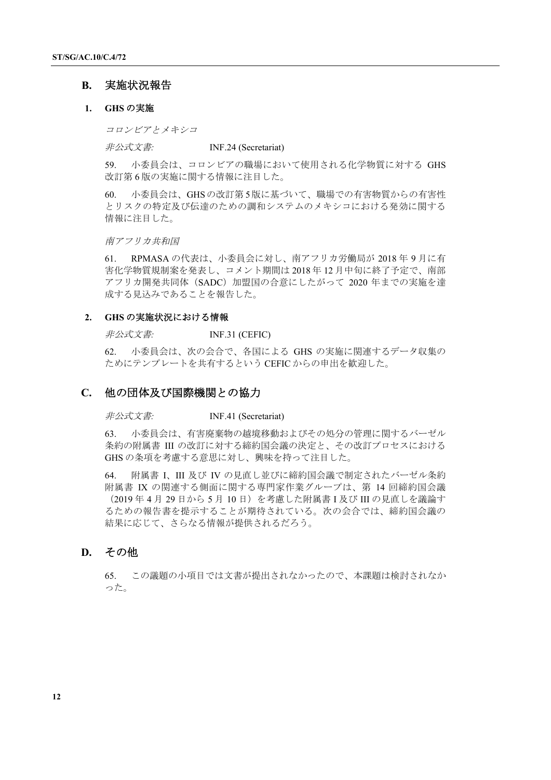### **B.** 実施状況報告

#### **1. GHS** の実施

コロンビアとメキシコ

非公式文書*:* INF.24 (Secretariat)

59. 小委員会は、コロンビアの職場において使用される化学物質に対する GHS 改訂第 6 版の実施に関する情報に注目した。

60. 小委員会は、GHSの改訂第 5版に基づいて、職場での有害物質からの有害性 とリスクの特定及び伝達のための調和システムのメキシコにおける発効に関する 情報に注目した。

南アフリカ共和国

61. RPMASA の代表は、小委員会に対し、南アフリカ労働局が 2018 年 9 月に有 害化学物質規制案を発表し、コメント期間は 2018 年 12 月中旬に終了予定で、南部 アフリカ開発共同体 (SADC) 加盟国の合意にしたがって 2020 年までの実施を達 成する見込みであることを報告した。

#### **2. GHS** の実施状況における情報

非公式文書*:* INF.31 (CEFIC)

62. 小委員会は、次の会合で、各国による GHS の実施に関連するデータ収集の ためにテンプレートを共有するという CEFIC からの申出を歓迎した。

#### **C.** 他の団体及び国際機関との協力

非公式文書*:* INF.41 (Secretariat)

63. 小委員会は、有害廃棄物の越境移動およびその処分の管理に関するバーゼル 条約の附属書 III の改訂に対する締約国会議の決定と、その改訂プロセスにおける GHS の条項を考慮する意思に対し、興味を持って注目した。

64. 附属書 I、III 及び IV の見直し並びに締約国会議で制定されたバーゼル条約 附属書 IX の関連する側面に関する専門家作業グループは、第 14 回締約国会議 (2019年4月29日から5月10日)を考慮した附属書 I 及び III の見直しを議論す るための報告書を提示することが期待されている。次の会合では、締約国会議の 結果に応じて、さらなる情報が提供されるだろう。

# **D.** その他

65. この議題の小項目では文書が提出されなかったので、本課題は検討されなか った。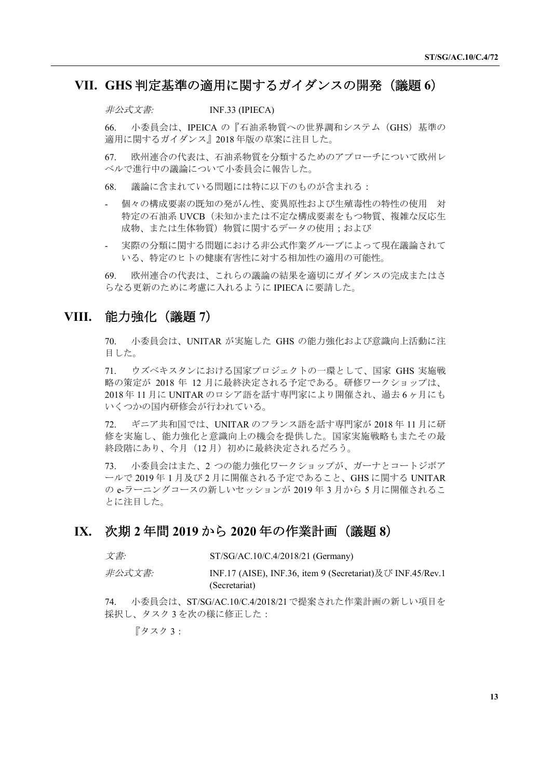# **VII. GHS** 判定基準の適用に関するガイダンスの開発(議題 **6**)

非公式文書*:* INF.33 (IPIECA)

66. 小委員会は、IPEICA の『石油系物質への世界調和システム(GHS)基準の 適用に関するガイダンス』2018 年版の草案に注目した。

67. 欧州連合の代表は、石油系物質を分類するためのアプローチについて欧州レ ベルで進行中の議論について小委員会に報告した。

68. 議論に含まれている問題には特に以下のものが含まれる:

- 個々の構成要素の既知の発がん性、変異原性および生殖毒性の特性の使用 対 特定の石油系 UVCB(未知かまたは不定な構成要素をもつ物質、複雑な反応生 成物、または生体物質)物質に関するデータの使用;および
- 実際の分類に関する問題における非公式作業グループによって現在議論されて いる、特定のヒトの健康有害性に対する相加性の適用の可能性。

69. 欧州連合の代表は、これらの議論の結果を適切にガイダンスの完成またはさ らなる更新のために考慮に入れるように IPIECA に要請した。

# **VIII.** 能力強化(議題 **7**)

70. 小委員会は、UNITAR が実施した GHS の能力強化および意識向上活動に注 目した。

71. ウズベキスタンにおける国家プロジェクトの一環として、国家 GHS 実施戦 略の策定が 2018 年 12 月に最終決定される予定である。研修ワークショップは、 2018 年 11 月に UNITAR のロシア語を話す専門家により開催され、過去 6 ヶ月にも いくつかの国内研修会が行われている。

72. ギニア共和国では、UNITAR のフランス語を話す専門家が 2018 年 11 月に研 修を実施し、能力強化と意識向上の機会を提供した。国家実施戦略もまたその最 終段階にあり、今月 (12月) 初めに最終決定されるだろう。

73. 小委員会はまた、2 つの能力強化ワークショップが、ガーナとコートジボア ールで 2019 年 1 月及び 2 月に開催される予定であること、GHS に関する UNITAR の e-ラーニングコースの新しいセッションが 2019 年 3 月から 5 月に開催されるこ とに注目した。

# **IX.** 次期 **2** 年間 **2019** から **2020** 年の作業計画(議題 **8**)

文書*:* ST/SG/AC.10/C.4/2018/21 (Germany)

非公式文書*:* INF.17 (AISE), INF.36, item 9 (Secretariat)及び INF.45/Rev.1 (Secretariat)

74. 小委員会は、ST/SG/AC.10/C.4/2018/21で提案された作業計画の新しい項目を 採択し、タスク3を次の様に修正した:

『タスク 3: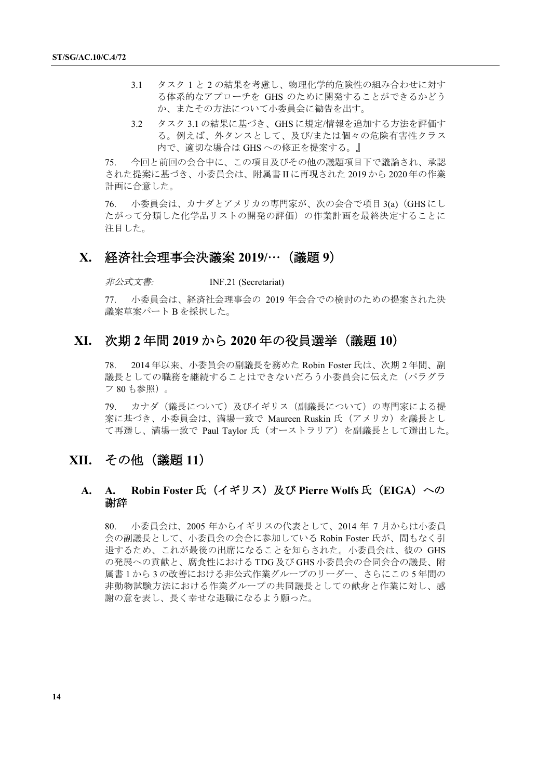- 3.1 タスク 1 と 2 の結果を考慮し、物理化学的危険性の組み合わせに対す る体系的なアプローチを GHS のために開発することができるかどう か、またその方法について小委員会に勧告を出す。
- 3.2 タスク 3.1 の結果に基づき、GHS に規定/情報を追加する方法を評価す る。例えば、外タンスとして、及び/または個々の危険有害性クラス 内で、適切な場合は GHS への修正を提案する。』

75. 今回と前回の会合中に、この項目及びその他の議題項目下で議論され、承認 された提案に基づき、小委員会は、附属書 II に再現された 2019 から 2020 年の作業 計画に合意した。

76. 小委員会は、カナダとアメリカの専門家が、次の会合で項目 3(a)(GHS にし たがって分類した化学品リストの開発の評価)の作業計画を最終決定することに 注目した。

### **X.** 経済社会理事会決議案 **2019/**…(議題 **9**)

非公式文書*:* INF.21 (Secretariat)

77. 小委員会は、経済社会理事会の 2019 年会合での検討のための提案された決 議案草案パート B を採択した。

# **XI.** 次期 **2** 年間 **2019** から **2020** 年の役員選挙(議題 **10**)

78. 2014 年以来、小委員会の副議長を務めた Robin Foster 氏は、次期 2 年間、副 議長としての職務を継続することはできないだろう小委員会に伝えた(パラグラ フ 80 も参照)。

79. カナダ(議長について)及びイギリス(副議長について)の専門家による提 案に基づき、小委員会は、満場一致で Maureen Ruskin 氏(アメリカ)を議長とし て再選し、満場一致で Paul Taylor 氏(オーストラリア)を副議長として選出した。

# **XII.** その他(議題 **11**)

### **A. A. Robin Foster** 氏(イギリス)及び **Pierre Wolfs** 氏(**EIGA**)への 謝辞

80. 小委員会は、2005 年からイギリスの代表として、2014 年 7 月からは小委員 会の副議長として、小委員会の会合に参加している Robin Foster 氏が、間もなく引 退するため、これが最後の出席になることを知らされた。小委員会は、彼の GHS の発展への貢献と、腐食性における TDG 及び GHS 小委員会の合同会合の議長、附 属書 1 から 3 の改善における非公式作業グループのリーダー、さらにこの 5 年間の 非動物試験方法における作業グループの共同議長としての献身と作業に対し、感 謝の意を表し、長く幸せな退職になるよう願った。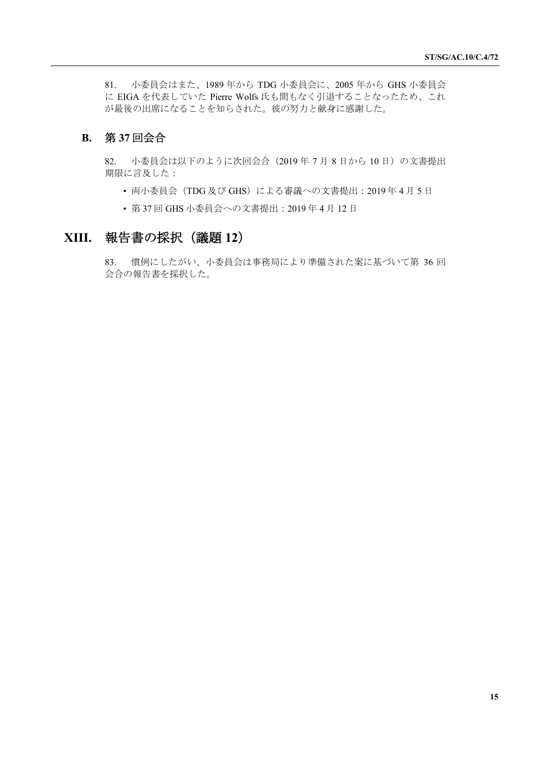81. 小委員会はまた、1989 年から TDG 小委員会に、2005 年から GHS 小委員会 に EIGA を代表していた Pierre Wolfs 氏も間もなく引退することなったため、これ が最後の出席になることを知らされた。彼の努力と献身に感謝した。

# **B.** 第 **37** 回会合

82. 小委員会は以下のように次回会合 (2019年7月8日から10日)の文書提出 期限に言及した:

- 両小委員会 (TDG 及び GHS) による審議への文書提出: 2019年4月5日
- 第 37 回 GHS 小委員会への文書提出:2019 年 4 月 12 日

# **XIII.** 報告書の採択(議題 **12**)

83. 慣例にしたがい、小委員会は事務局により準備された案に基づいて第 36 回 会合の報告書を採択した。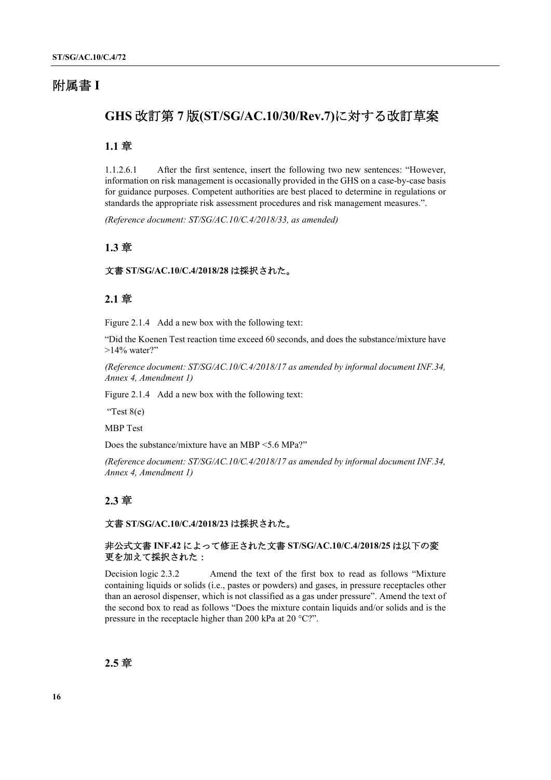# 附属書 **I**

# **GHS** 改訂第 **7** 版**(ST/SG/AC.10/30/Rev.7)**に対する改訂草案

# **1.1** 章

1.1.2.6.1 After the first sentence, insert the following two new sentences: "However, information on risk management is occasionally provided in the GHS on a case-by-case basis for guidance purposes. Competent authorities are best placed to determine in regulations or standards the appropriate risk assessment procedures and risk management measures.".

*(Reference document: ST/SG/AC.10/C.4/2018/33, as amended)*

### **1.3** 章

#### 文書 **ST/SG/AC.10/C.4/2018/28** は採択された。

### **2.1** 章

Figure 2.1.4 Add a new box with the following text:

"Did the Koenen Test reaction time exceed 60 seconds, and does the substance/mixture have >14% water?"

*(Reference document: ST/SG/AC.10/C.4/2018/17 as amended by informal document INF.34, Annex 4, Amendment 1)*

Figure 2.1.4 Add a new box with the following text:

"Test 8(e)

MBP Test

Does the substance/mixture have an MBP <5.6 MPa?"

*(Reference document: ST/SG/AC.10/C.4/2018/17 as amended by informal document INF.34, Annex 4, Amendment 1)*

### **2.3** 章

### 文書 **ST/SG/AC.10/C.4/2018/23** は採択された。

### 非公式文書 **INF.42** によって修正された文書 **ST/SG/AC.10/C.4/2018/25** は以下の変 更を加えて採択された:

Decision logic 2.3.2 Amend the text of the first box to read as follows "Mixture containing liquids or solids (i.e., pastes or powders) and gases, in pressure receptacles other than an aerosol dispenser, which is not classified as a gas under pressure". Amend the text of the second box to read as follows "Does the mixture contain liquids and/or solids and is the pressure in the receptacle higher than 200 kPa at 20 °C?".

### **2.5** 章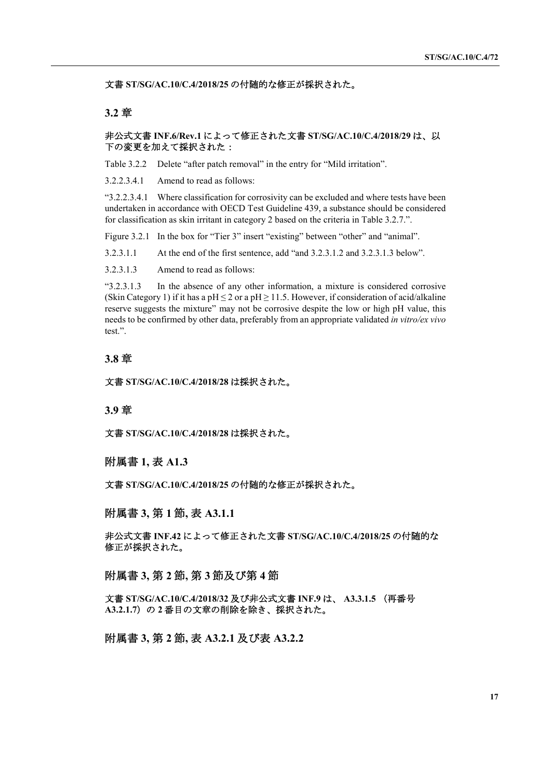文書 **ST/SG/AC.10/C.4/2018/25** の付随的な修正が採択された。

### **3.2** 章

#### 非公式文書 **INF.6/Rev.1** によって修正された文書 **ST/SG/AC.10/C.4/2018/29** は、以 下の変更を加えて採択された:

Table 3.2.2 Delete "after patch removal" in the entry for "Mild irritation".

3.2.2.3.4.1 Amend to read as follows:

"3.2.2.3.4.1 Where classification for corrosivity can be excluded and where tests have been undertaken in accordance with OECD Test Guideline 439, a substance should be considered for classification as skin irritant in category 2 based on the criteria in Table 3.2.7.".

Figure 3.2.1 In the box for "Tier 3" insert "existing" between "other" and "animal".

3.2.3.1.1 At the end of the first sentence, add "and 3.2.3.1.2 and 3.2.3.1.3 below".

3.2.3.1.3 Amend to read as follows:

"3.2.3.1.3 In the absence of any other information, a mixture is considered corrosive (Skin Category 1) if it has a pH  $\leq$  2 or a pH  $\geq$  11.5. However, if consideration of acid/alkaline reserve suggests the mixture" may not be corrosive despite the low or high pH value, this needs to be confirmed by other data, preferably from an appropriate validated *in vitro/ex vivo* test.".

### **3.8** 章

文書 **ST/SG/AC.10/C.4/2018/28** は採択された。

#### **3.9** 章

文書 **ST/SG/AC.10/C.4/2018/28** は採択された。

### 附属書 **1,** 表 **A1.3**

文書 **ST/SG/AC.10/C.4/2018/25** の付随的な修正が採択された。

#### 附属書 **3,** 第 **1** 節**,** 表 **A3.1.1**

非公式文書 **INF.42** によって修正された文書 **ST/SG/AC.10/C.4/2018/25** の付随的な 修正が採択された。

### 附属書 **3,** 第 **2** 節**,** 第 **3** 節及び第 **4** 節

文書 **ST/SG/AC.10/C.4/2018/32** 及び非公式文書 **INF.9** は、 **A3.3.1.5** (再番号 **A3.2.1.7**)の **2** 番目の文章の削除を除き、採択された。

### 附属書 **3,** 第 **2** 節**,** 表 **A3.2.1** 及び表 **A3.2.2**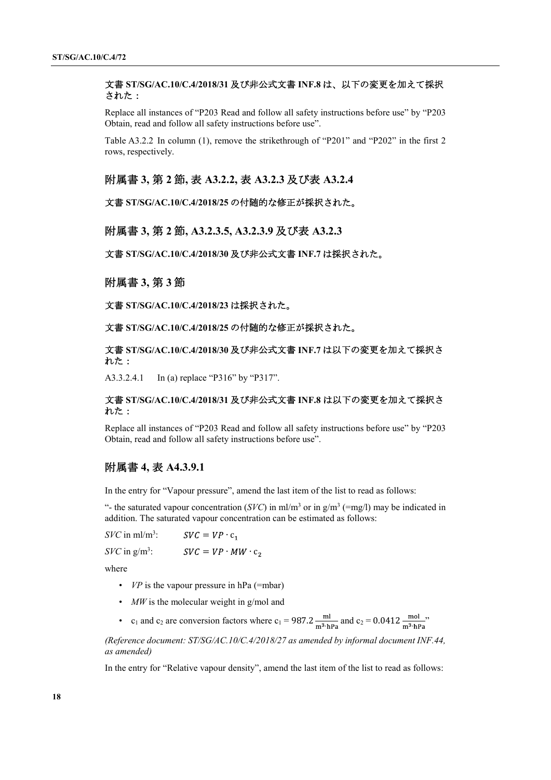#### 文書 **ST/SG/AC.10/C.4/2018/31** 及び非公式文書 **INF.8** は、以下の変更を加えて採択 された:

Replace all instances of "P203 Read and follow all safety instructions before use" by "P203 Obtain, read and follow all safety instructions before use".

Table A3.2.2 In column (1), remove the strikethrough of "P201" and "P202" in the first 2 rows, respectively.

附属書 **3,** 第 **2** 節**,** 表 **A3.2.2,** 表 **A3.2.3** 及び表 **A3.2.4**

文書 **ST/SG/AC.10/C.4/2018/25** の付随的な修正が採択された。

附属書 **3,** 第 **2** 節**, A3.2.3.5, A3.2.3.9** 及び表 **A3.2.3**

文書 **ST/SG/AC.10/C.4/2018/30** 及び非公式文書 **INF.7** は採択された。

### 附属書 **3,** 第 **3** 節

文書 **ST/SG/AC.10/C.4/2018/23** は採択された。

文書 **ST/SG/AC.10/C.4/2018/25** の付随的な修正が採択された。

文書 **ST/SG/AC.10/C.4/2018/30** 及び非公式文書 **INF.7** は以下の変更を加えて採択さ れた:

A3.3.2.4.1 In (a) replace "P316" by "P317".

#### 文書 **ST/SG/AC.10/C.4/2018/31** 及び非公式文書 **INF.8** は以下の変更を加えて採択さ れた:

Replace all instances of "P203 Read and follow all safety instructions before use" by "P203 Obtain, read and follow all safety instructions before use".

### 附属書 **4,** 表 **A4.3.9.1**

In the entry for "Vapour pressure", amend the last item of the list to read as follows:

"- the saturated vapour concentration (*SVC*) in ml/m<sup>3</sup> or in  $g/m^3$  (=mg/l) may be indicated in addition. The saturated vapour concentration can be estimated as follows:

*SVC* in ml/m<sup>3</sup>:  $SVC = VP \cdot c_1$ 

*SVC* in  $g/m^3$ :  $SVC = VP \cdot MW \cdot c_2$ 

where

- *VP* is the vapour pressure in  $hPa$  (=mbar)
- *MW* is the molecular weight in g/mol and
- c<sub>1</sub> and c<sub>2</sub> are conversion factors where c<sub>1</sub> = 987.2  $\frac{m}{m^3 \cdot hPa}$  and c<sub>2</sub> = 0.0412  $\frac{m}{m^3 \cdot hPa}$ <sup>3</sup>

*(Reference document: ST/SG/AC.10/C.4/2018/27 as amended by informal document INF.44, as amended)*

In the entry for "Relative vapour density", amend the last item of the list to read as follows: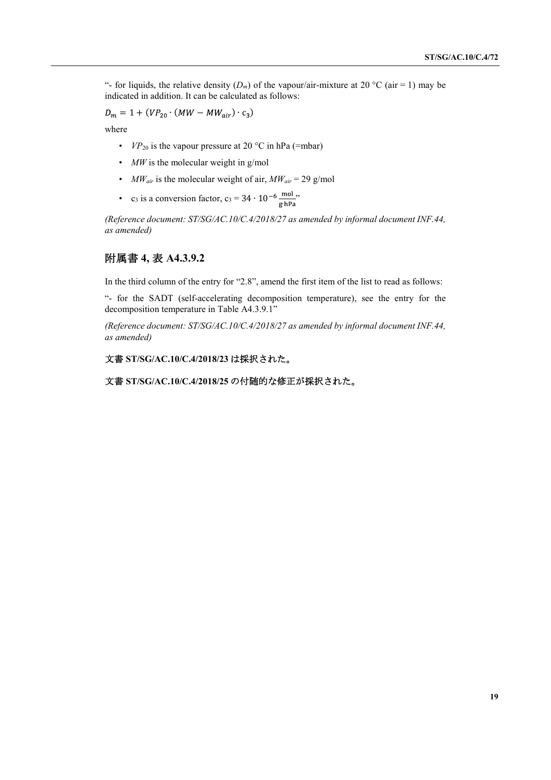"- for liquids, the relative density  $(D_m)$  of the vapour/air-mixture at 20 °C (air = 1) may be indicated in addition. It can be calculated as follows:

$$
D_m = 1 + (VP_{20} \cdot (MW - MW_{air}) \cdot c_3)
$$

where

- $VP_{20}$  is the vapour pressure at 20 °C in hPa (=mbar)
- *MW* is the molecular weight in g/mol
- *MWair* is the molecular weight of air, *MWair* = 29 g/mol
- c<sub>3</sub> is a conversion factor, c<sub>3</sub> =  $34 \cdot 10^{-6} \frac{\text{mol}}{\text{g} \cdot \text{hPa}}$

*(Reference document: ST/SG/AC.10/C.4/2018/27 as amended by informal document INF.44, as amended)*

## 附属書 **4,** 表 **A4.3.9.2**

In the third column of the entry for "2.8", amend the first item of the list to read as follows:

"- for the SADT (self-accelerating decomposition temperature), see the entry for the decomposition temperature in Table A4.3.9.1"

*(Reference document: ST/SG/AC.10/C.4/2018/27 as amended by informal document INF.44, as amended)*

#### 文書 **ST/SG/AC.10/C.4/2018/23** は採択された。

文書 **ST/SG/AC.10/C.4/2018/25** の付随的な修正が採択された。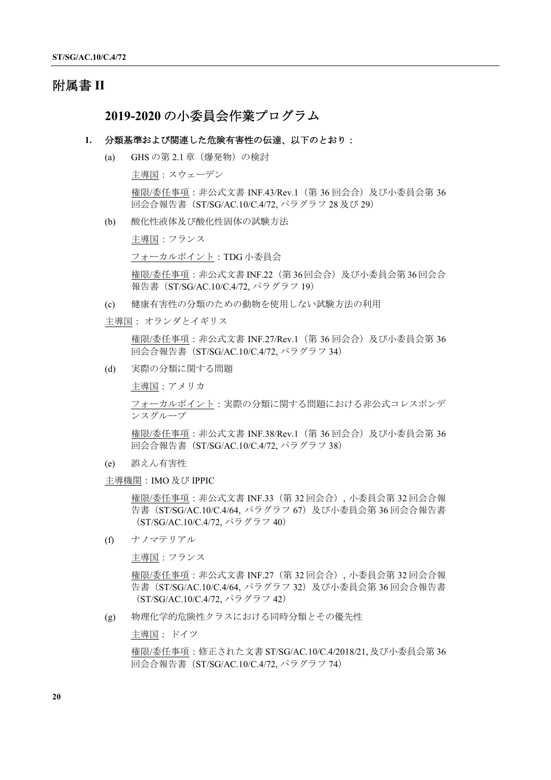# 附属書 **II**

## **2019-2020** の小委員会作業プログラム

#### **1.** 分類基準および関連した危険有害性の伝達、以下のとおり:

(a) GHS の第 2.1 章(爆発物)の検討

主導国:スウェーデン

権限/委任事項: 非公式文書 INF.43/Rev.1 (第 36 回会合) 及び小委員会第 36 回会合報告書(ST/SG/AC.10/C.4/72, パラグラフ 28 及び 29)

(b) 酸化性液体及び酸化性固体の試験方法

主導国:フランス

フォーカルポイント:TDG 小委員会

権限/委任事項:非公式文書 INF.22(第 36回会合)及び小委員会第 36回会合 報告書 (ST/SG/AC.10/C.4/72, パラグラフ 19)

(c) 健康有害性の分類のための動物を使用しない試験方法の利用

主導国: オランダとイギリス

権限/委任事項:非公式文書 INF.27/Rev.1(第 36 回会合)及び小委員会第 36 回会合報告書(ST/SG/AC.10/C.4/72, パラグラフ 34)

(d) 実際の分類に関する問題

主導国:アメリカ

フォーカルポイント:実際の分類に関する問題における非公式コレスポンデ ンスグループ

権限/委任事項: 非公式文書 INF.38/Rev.1 (第 36 回会合) 及び小委員会第 36 回会合報告書(ST/SG/AC.10/C.4/72, パラグラフ 38)

- (e) 誤えん有害性
- 主導機関:IMO 及び IPPIC

権限/委任事項:非公式文書 INF.33(第 32 回会合), 小委員会第 32 回会合報 告書 (ST/SG/AC.10/C.4/64, パラグラフ 67) 及び小委員会第 36 回会合報告書 (ST/SG/AC.10/C.4/72, パラグラフ 40)

(f) ナノマテリアル

主導国:フランス

権限/委任事項:非公式文書 INF.27(第 32 回会合), 小委員会第 32 回会合報 告書 (ST/SG/AC.10/C.4/64, パラグラフ 32) 及び小委員会第 36 回会合報告書 (ST/SG/AC.10/C.4/72, パラグラフ 42)

(g) 物理化学的危険性クラスにおける同時分類とその優先性

主導国: ドイツ

権限/委任事項:修正された文書 ST/SG/AC.10/C.4/2018/21, 及び小委員会第 36 回会合報告書(ST/SG/AC.10/C.4/72, パラグラフ 74)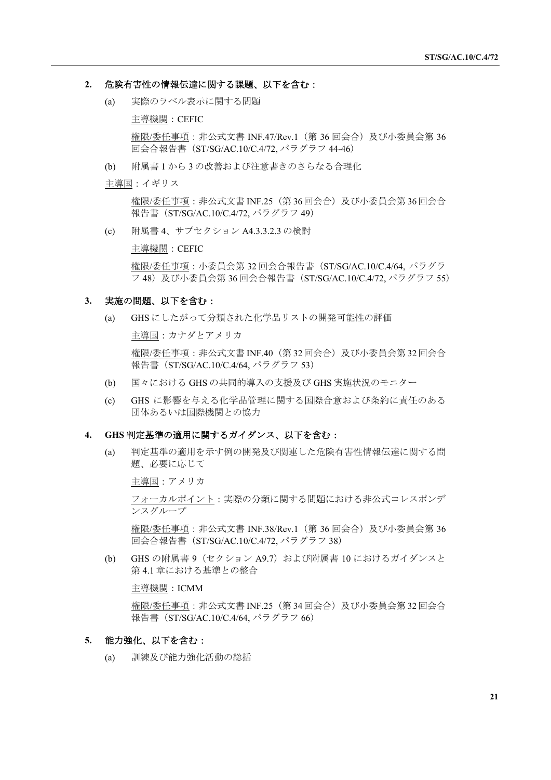#### **2.** 危険有害性の情報伝達に関する課題、以下を含む:

(a) 実際のラベル表示に関する問題

主導機関:CEFIC

権限/委任事項:非公式文書 INF.47/Rev.1(第 36 回会合)及び小委員会第 36 回会合報告書(ST/SG/AC.10/C.4/72, パラグラフ 44-46)

(b) 附属書 1 から 3 の改善および注意書きのさらなる合理化

主導国:イギリス

権限/委任事項:非公式文書 INF.25(第 36回会合)及び小委員会第 36回会合 報告書 (ST/SG/AC.10/C.4/72, パラグラフ 49)

(c) 附属書 4、サブセクション A4.3.3.2.3 の検討

主導機関:CEFIC

権限/委任事項:小委員会第 32 回会合報告書(ST/SG/AC.10/C.4/64, パラグラ フ 48) 及び小委員会第 36 回会合報告書 (ST/SG/AC.10/C.4/72, パラグラフ 55)

### **3.** 実施の問題、以下を含む:

(a) GHS にしたがって分類された化学品リストの開発可能性の評価

主導国:カナダとアメリカ

権限/委任事項:非公式文書 INF.40(第 32回会合)及び小委員会第 32回会合 報告書 (ST/SG/AC.10/C.4/64, パラグラフ 53)

- (b) 国々における GHS の共同的導入の支援及び GHS 実施状況のモニター
- (c) GHS に影響を与える化学品管理に関する国際合意および条約に責任のある 団体あるいは国際機関との協力

#### **4. GHS** 判定基準の適用に関するガイダンス、以下を含む:

(a) 判定基準の適用を示す例の開発及び関連した危険有害性情報伝達に関する問 題、必要に応じて

主導国:アメリカ

フォーカルポイント:実際の分類に関する問題における非公式コレスポンデ ンスグループ

権限/委任事項:非公式文書 INF.38/Rev.1(第 36 回会合)及び小委員会第 36 回会合報告書(ST/SG/AC.10/C.4/72, パラグラフ 38)

(b) GHS の附属書 9 (セクション A9.7) および附属書 10 におけるガイダンスと 第 4.1 章における基準との整合

### 主導機関:ICMM

権限/委任事項:非公式文書 INF.25(第 34回会合)及び小委員会第 32回会合 報告書 (ST/SG/AC.10/C.4/64, パラグラフ 66)

#### **5.** 能力強化、以下を含む:

(a) 訓練及び能力強化活動の総括